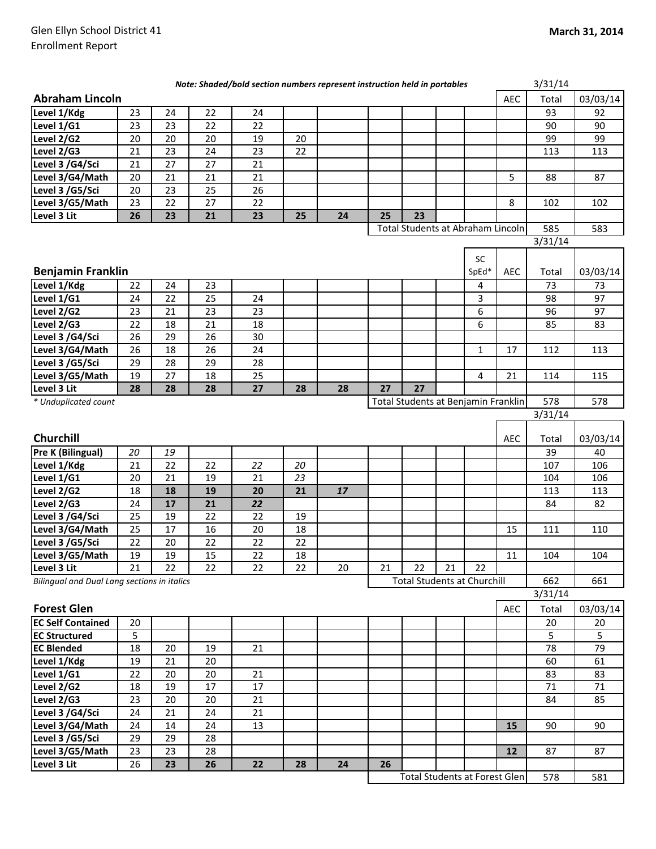| <b>Abraham Lincoln</b><br><b>AEC</b><br>Total<br>Level 1/Kdg<br>23<br>24<br>22<br>24<br>93<br>92<br>23<br>Level 1/G1<br>23<br>22<br>22<br>90<br>90<br>Level 2/G2<br>20<br>99<br>99<br>20<br>20<br>19<br>20<br>23<br>24<br>23<br>22<br>21<br>113<br>113<br>27<br>27<br>21<br>21<br>21<br>21<br>21<br>5<br>87<br>20<br>88<br>20<br>23<br>25<br>26<br>23<br>22<br>27<br>22<br>8<br>102<br>102<br>26<br>23<br>21<br>25<br>23<br>23<br>25<br>24<br><b>Total Students at Abraham Lincoln</b><br>585<br>583<br>3/31/14<br>SC<br><b>Benjamin Franklin</b><br>SpEd*<br><b>AEC</b><br>03/03/14<br>Total<br>Level 1/Kdg<br>24<br>23<br>73<br>22<br>4<br>73<br>97<br>24<br>22<br>25<br>3<br>98<br>24<br>6<br>97<br>23<br>21<br>23<br>23<br>96<br>6<br>22<br>18<br>21<br>18<br>85<br>83<br>26<br>29<br>26<br>30<br>26<br>18<br>26<br>$\mathbf{1}$<br>24<br>17<br>112<br>113<br>29<br>28<br>29<br>28<br>27<br>19<br>18<br>25<br>4<br>21<br>114<br>115<br>27<br>27<br>27<br>28<br>28<br>28<br>28<br>28<br>Total Students at Benjamin Franklin<br>578<br>578<br>3/31/14<br>Churchill<br><b>AEC</b><br>03/03/14<br>Total<br>20<br>39<br><b>Pre K (Bilingual)</b><br>19<br>40<br>22<br>Level 1/Kdg<br>21<br>22<br>22<br>20<br>107<br>106<br>Level 1/G1<br>21<br>20<br>23<br>106<br>19<br>21<br>104<br>Level 2/G2<br>18<br>18<br>19<br>20<br>21<br>17<br>113<br>113<br>17<br>82<br>Level 2/G3<br>24<br>21<br>22<br>84<br>19<br>22<br>22<br>Level 3 /G4/Sci<br>25<br>19<br>17<br>16<br>Level 3/G4/Math<br>25<br>20<br>18<br>111<br>110<br>15<br>22<br>22<br>Level 3 /G5/Sci<br>22<br>20<br>22<br>Level 3/G5/Math<br>19<br>19<br>15<br>22<br>18<br>11<br>104<br>104<br>22<br>22<br>22<br>22<br>20<br>21<br>22<br>21<br>22<br>Level 3 Lit<br>21<br><b>Total Students at Churchill</b><br>662<br>661<br><b>Bilingual and Dual Lang sections in italics</b><br>3/31/14<br><b>Forest Glen</b><br>AEC<br>03/03/14<br>Total<br><b>EC Self Contained</b><br>20<br>20<br>20<br>5<br>5<br>5<br><b>EC Structured</b><br>79<br>18<br>78<br><b>EC Blended</b><br>20<br>19<br>21<br>21<br>60<br>61<br>Level 1/Kdg<br>19<br>20<br>22<br>20<br>83<br>Level 1/G1<br>20<br>21<br>83<br>Level 2/G2<br>19<br>$17\,$<br>17<br>71<br>$71\,$<br>18<br>Level 2/G3<br>20<br>85<br>23<br>20<br>21<br>84<br>Level 3 /G4/Sci<br>24<br>21<br>24<br>21<br>Level 3/G4/Math<br>13<br>24<br>14<br>24<br>15<br>90<br>90<br>Level 3 /G5/Sci<br>29<br>28<br>29<br>Level 3/G5/Math<br>23<br>28<br>12<br>87<br>23<br>87<br>26<br>23<br>26<br>22<br>Level 3 Lit<br>26<br>28<br>24<br><b>Total Students at Forest Glen</b> |                      |  | Note: Shaded/bold section numbers represent instruction held in portables |  |  |  | 3/31/14 |          |
|----------------------------------------------------------------------------------------------------------------------------------------------------------------------------------------------------------------------------------------------------------------------------------------------------------------------------------------------------------------------------------------------------------------------------------------------------------------------------------------------------------------------------------------------------------------------------------------------------------------------------------------------------------------------------------------------------------------------------------------------------------------------------------------------------------------------------------------------------------------------------------------------------------------------------------------------------------------------------------------------------------------------------------------------------------------------------------------------------------------------------------------------------------------------------------------------------------------------------------------------------------------------------------------------------------------------------------------------------------------------------------------------------------------------------------------------------------------------------------------------------------------------------------------------------------------------------------------------------------------------------------------------------------------------------------------------------------------------------------------------------------------------------------------------------------------------------------------------------------------------------------------------------------------------------------------------------------------------------------------------------------------------------------------------------------------------------------------------------------------------------------------------------------------------------------------------------------------------------------------------------------------------------------------------------------------------------------------------------------------------------------------------------------------------------------------------------------------------------------------------------------------------------------------------------------------|----------------------|--|---------------------------------------------------------------------------|--|--|--|---------|----------|
|                                                                                                                                                                                                                                                                                                                                                                                                                                                                                                                                                                                                                                                                                                                                                                                                                                                                                                                                                                                                                                                                                                                                                                                                                                                                                                                                                                                                                                                                                                                                                                                                                                                                                                                                                                                                                                                                                                                                                                                                                                                                                                                                                                                                                                                                                                                                                                                                                                                                                                                                                                |                      |  |                                                                           |  |  |  |         | 03/03/14 |
|                                                                                                                                                                                                                                                                                                                                                                                                                                                                                                                                                                                                                                                                                                                                                                                                                                                                                                                                                                                                                                                                                                                                                                                                                                                                                                                                                                                                                                                                                                                                                                                                                                                                                                                                                                                                                                                                                                                                                                                                                                                                                                                                                                                                                                                                                                                                                                                                                                                                                                                                                                |                      |  |                                                                           |  |  |  |         |          |
|                                                                                                                                                                                                                                                                                                                                                                                                                                                                                                                                                                                                                                                                                                                                                                                                                                                                                                                                                                                                                                                                                                                                                                                                                                                                                                                                                                                                                                                                                                                                                                                                                                                                                                                                                                                                                                                                                                                                                                                                                                                                                                                                                                                                                                                                                                                                                                                                                                                                                                                                                                |                      |  |                                                                           |  |  |  |         |          |
|                                                                                                                                                                                                                                                                                                                                                                                                                                                                                                                                                                                                                                                                                                                                                                                                                                                                                                                                                                                                                                                                                                                                                                                                                                                                                                                                                                                                                                                                                                                                                                                                                                                                                                                                                                                                                                                                                                                                                                                                                                                                                                                                                                                                                                                                                                                                                                                                                                                                                                                                                                |                      |  |                                                                           |  |  |  |         |          |
|                                                                                                                                                                                                                                                                                                                                                                                                                                                                                                                                                                                                                                                                                                                                                                                                                                                                                                                                                                                                                                                                                                                                                                                                                                                                                                                                                                                                                                                                                                                                                                                                                                                                                                                                                                                                                                                                                                                                                                                                                                                                                                                                                                                                                                                                                                                                                                                                                                                                                                                                                                | Level 2/G3           |  |                                                                           |  |  |  |         |          |
|                                                                                                                                                                                                                                                                                                                                                                                                                                                                                                                                                                                                                                                                                                                                                                                                                                                                                                                                                                                                                                                                                                                                                                                                                                                                                                                                                                                                                                                                                                                                                                                                                                                                                                                                                                                                                                                                                                                                                                                                                                                                                                                                                                                                                                                                                                                                                                                                                                                                                                                                                                | Level 3 /G4/Sci      |  |                                                                           |  |  |  |         |          |
|                                                                                                                                                                                                                                                                                                                                                                                                                                                                                                                                                                                                                                                                                                                                                                                                                                                                                                                                                                                                                                                                                                                                                                                                                                                                                                                                                                                                                                                                                                                                                                                                                                                                                                                                                                                                                                                                                                                                                                                                                                                                                                                                                                                                                                                                                                                                                                                                                                                                                                                                                                | Level 3/G4/Math      |  |                                                                           |  |  |  |         |          |
|                                                                                                                                                                                                                                                                                                                                                                                                                                                                                                                                                                                                                                                                                                                                                                                                                                                                                                                                                                                                                                                                                                                                                                                                                                                                                                                                                                                                                                                                                                                                                                                                                                                                                                                                                                                                                                                                                                                                                                                                                                                                                                                                                                                                                                                                                                                                                                                                                                                                                                                                                                | Level 3 /G5/Sci      |  |                                                                           |  |  |  |         |          |
|                                                                                                                                                                                                                                                                                                                                                                                                                                                                                                                                                                                                                                                                                                                                                                                                                                                                                                                                                                                                                                                                                                                                                                                                                                                                                                                                                                                                                                                                                                                                                                                                                                                                                                                                                                                                                                                                                                                                                                                                                                                                                                                                                                                                                                                                                                                                                                                                                                                                                                                                                                | Level 3/G5/Math      |  |                                                                           |  |  |  |         |          |
|                                                                                                                                                                                                                                                                                                                                                                                                                                                                                                                                                                                                                                                                                                                                                                                                                                                                                                                                                                                                                                                                                                                                                                                                                                                                                                                                                                                                                                                                                                                                                                                                                                                                                                                                                                                                                                                                                                                                                                                                                                                                                                                                                                                                                                                                                                                                                                                                                                                                                                                                                                | Level 3 Lit          |  |                                                                           |  |  |  |         |          |
|                                                                                                                                                                                                                                                                                                                                                                                                                                                                                                                                                                                                                                                                                                                                                                                                                                                                                                                                                                                                                                                                                                                                                                                                                                                                                                                                                                                                                                                                                                                                                                                                                                                                                                                                                                                                                                                                                                                                                                                                                                                                                                                                                                                                                                                                                                                                                                                                                                                                                                                                                                |                      |  |                                                                           |  |  |  |         |          |
|                                                                                                                                                                                                                                                                                                                                                                                                                                                                                                                                                                                                                                                                                                                                                                                                                                                                                                                                                                                                                                                                                                                                                                                                                                                                                                                                                                                                                                                                                                                                                                                                                                                                                                                                                                                                                                                                                                                                                                                                                                                                                                                                                                                                                                                                                                                                                                                                                                                                                                                                                                |                      |  |                                                                           |  |  |  |         |          |
|                                                                                                                                                                                                                                                                                                                                                                                                                                                                                                                                                                                                                                                                                                                                                                                                                                                                                                                                                                                                                                                                                                                                                                                                                                                                                                                                                                                                                                                                                                                                                                                                                                                                                                                                                                                                                                                                                                                                                                                                                                                                                                                                                                                                                                                                                                                                                                                                                                                                                                                                                                |                      |  |                                                                           |  |  |  |         |          |
|                                                                                                                                                                                                                                                                                                                                                                                                                                                                                                                                                                                                                                                                                                                                                                                                                                                                                                                                                                                                                                                                                                                                                                                                                                                                                                                                                                                                                                                                                                                                                                                                                                                                                                                                                                                                                                                                                                                                                                                                                                                                                                                                                                                                                                                                                                                                                                                                                                                                                                                                                                |                      |  |                                                                           |  |  |  |         |          |
|                                                                                                                                                                                                                                                                                                                                                                                                                                                                                                                                                                                                                                                                                                                                                                                                                                                                                                                                                                                                                                                                                                                                                                                                                                                                                                                                                                                                                                                                                                                                                                                                                                                                                                                                                                                                                                                                                                                                                                                                                                                                                                                                                                                                                                                                                                                                                                                                                                                                                                                                                                |                      |  |                                                                           |  |  |  |         |          |
|                                                                                                                                                                                                                                                                                                                                                                                                                                                                                                                                                                                                                                                                                                                                                                                                                                                                                                                                                                                                                                                                                                                                                                                                                                                                                                                                                                                                                                                                                                                                                                                                                                                                                                                                                                                                                                                                                                                                                                                                                                                                                                                                                                                                                                                                                                                                                                                                                                                                                                                                                                | Level 1/G1           |  |                                                                           |  |  |  |         |          |
|                                                                                                                                                                                                                                                                                                                                                                                                                                                                                                                                                                                                                                                                                                                                                                                                                                                                                                                                                                                                                                                                                                                                                                                                                                                                                                                                                                                                                                                                                                                                                                                                                                                                                                                                                                                                                                                                                                                                                                                                                                                                                                                                                                                                                                                                                                                                                                                                                                                                                                                                                                | Level 2/G2           |  |                                                                           |  |  |  |         |          |
|                                                                                                                                                                                                                                                                                                                                                                                                                                                                                                                                                                                                                                                                                                                                                                                                                                                                                                                                                                                                                                                                                                                                                                                                                                                                                                                                                                                                                                                                                                                                                                                                                                                                                                                                                                                                                                                                                                                                                                                                                                                                                                                                                                                                                                                                                                                                                                                                                                                                                                                                                                | Level 2/G3           |  |                                                                           |  |  |  |         |          |
|                                                                                                                                                                                                                                                                                                                                                                                                                                                                                                                                                                                                                                                                                                                                                                                                                                                                                                                                                                                                                                                                                                                                                                                                                                                                                                                                                                                                                                                                                                                                                                                                                                                                                                                                                                                                                                                                                                                                                                                                                                                                                                                                                                                                                                                                                                                                                                                                                                                                                                                                                                | Level 3 /G4/Sci      |  |                                                                           |  |  |  |         |          |
|                                                                                                                                                                                                                                                                                                                                                                                                                                                                                                                                                                                                                                                                                                                                                                                                                                                                                                                                                                                                                                                                                                                                                                                                                                                                                                                                                                                                                                                                                                                                                                                                                                                                                                                                                                                                                                                                                                                                                                                                                                                                                                                                                                                                                                                                                                                                                                                                                                                                                                                                                                | Level 3/G4/Math      |  |                                                                           |  |  |  |         |          |
|                                                                                                                                                                                                                                                                                                                                                                                                                                                                                                                                                                                                                                                                                                                                                                                                                                                                                                                                                                                                                                                                                                                                                                                                                                                                                                                                                                                                                                                                                                                                                                                                                                                                                                                                                                                                                                                                                                                                                                                                                                                                                                                                                                                                                                                                                                                                                                                                                                                                                                                                                                | Level 3 /G5/Sci      |  |                                                                           |  |  |  |         |          |
|                                                                                                                                                                                                                                                                                                                                                                                                                                                                                                                                                                                                                                                                                                                                                                                                                                                                                                                                                                                                                                                                                                                                                                                                                                                                                                                                                                                                                                                                                                                                                                                                                                                                                                                                                                                                                                                                                                                                                                                                                                                                                                                                                                                                                                                                                                                                                                                                                                                                                                                                                                | Level 3/G5/Math      |  |                                                                           |  |  |  |         |          |
|                                                                                                                                                                                                                                                                                                                                                                                                                                                                                                                                                                                                                                                                                                                                                                                                                                                                                                                                                                                                                                                                                                                                                                                                                                                                                                                                                                                                                                                                                                                                                                                                                                                                                                                                                                                                                                                                                                                                                                                                                                                                                                                                                                                                                                                                                                                                                                                                                                                                                                                                                                | Level 3 Lit          |  |                                                                           |  |  |  |         |          |
|                                                                                                                                                                                                                                                                                                                                                                                                                                                                                                                                                                                                                                                                                                                                                                                                                                                                                                                                                                                                                                                                                                                                                                                                                                                                                                                                                                                                                                                                                                                                                                                                                                                                                                                                                                                                                                                                                                                                                                                                                                                                                                                                                                                                                                                                                                                                                                                                                                                                                                                                                                | * Unduplicated count |  |                                                                           |  |  |  |         |          |
|                                                                                                                                                                                                                                                                                                                                                                                                                                                                                                                                                                                                                                                                                                                                                                                                                                                                                                                                                                                                                                                                                                                                                                                                                                                                                                                                                                                                                                                                                                                                                                                                                                                                                                                                                                                                                                                                                                                                                                                                                                                                                                                                                                                                                                                                                                                                                                                                                                                                                                                                                                |                      |  |                                                                           |  |  |  |         |          |
|                                                                                                                                                                                                                                                                                                                                                                                                                                                                                                                                                                                                                                                                                                                                                                                                                                                                                                                                                                                                                                                                                                                                                                                                                                                                                                                                                                                                                                                                                                                                                                                                                                                                                                                                                                                                                                                                                                                                                                                                                                                                                                                                                                                                                                                                                                                                                                                                                                                                                                                                                                |                      |  |                                                                           |  |  |  |         |          |
|                                                                                                                                                                                                                                                                                                                                                                                                                                                                                                                                                                                                                                                                                                                                                                                                                                                                                                                                                                                                                                                                                                                                                                                                                                                                                                                                                                                                                                                                                                                                                                                                                                                                                                                                                                                                                                                                                                                                                                                                                                                                                                                                                                                                                                                                                                                                                                                                                                                                                                                                                                |                      |  |                                                                           |  |  |  |         |          |
|                                                                                                                                                                                                                                                                                                                                                                                                                                                                                                                                                                                                                                                                                                                                                                                                                                                                                                                                                                                                                                                                                                                                                                                                                                                                                                                                                                                                                                                                                                                                                                                                                                                                                                                                                                                                                                                                                                                                                                                                                                                                                                                                                                                                                                                                                                                                                                                                                                                                                                                                                                |                      |  |                                                                           |  |  |  |         |          |
|                                                                                                                                                                                                                                                                                                                                                                                                                                                                                                                                                                                                                                                                                                                                                                                                                                                                                                                                                                                                                                                                                                                                                                                                                                                                                                                                                                                                                                                                                                                                                                                                                                                                                                                                                                                                                                                                                                                                                                                                                                                                                                                                                                                                                                                                                                                                                                                                                                                                                                                                                                |                      |  |                                                                           |  |  |  |         |          |
|                                                                                                                                                                                                                                                                                                                                                                                                                                                                                                                                                                                                                                                                                                                                                                                                                                                                                                                                                                                                                                                                                                                                                                                                                                                                                                                                                                                                                                                                                                                                                                                                                                                                                                                                                                                                                                                                                                                                                                                                                                                                                                                                                                                                                                                                                                                                                                                                                                                                                                                                                                |                      |  |                                                                           |  |  |  |         |          |
|                                                                                                                                                                                                                                                                                                                                                                                                                                                                                                                                                                                                                                                                                                                                                                                                                                                                                                                                                                                                                                                                                                                                                                                                                                                                                                                                                                                                                                                                                                                                                                                                                                                                                                                                                                                                                                                                                                                                                                                                                                                                                                                                                                                                                                                                                                                                                                                                                                                                                                                                                                |                      |  |                                                                           |  |  |  |         |          |
|                                                                                                                                                                                                                                                                                                                                                                                                                                                                                                                                                                                                                                                                                                                                                                                                                                                                                                                                                                                                                                                                                                                                                                                                                                                                                                                                                                                                                                                                                                                                                                                                                                                                                                                                                                                                                                                                                                                                                                                                                                                                                                                                                                                                                                                                                                                                                                                                                                                                                                                                                                |                      |  |                                                                           |  |  |  |         |          |
|                                                                                                                                                                                                                                                                                                                                                                                                                                                                                                                                                                                                                                                                                                                                                                                                                                                                                                                                                                                                                                                                                                                                                                                                                                                                                                                                                                                                                                                                                                                                                                                                                                                                                                                                                                                                                                                                                                                                                                                                                                                                                                                                                                                                                                                                                                                                                                                                                                                                                                                                                                |                      |  |                                                                           |  |  |  |         |          |
|                                                                                                                                                                                                                                                                                                                                                                                                                                                                                                                                                                                                                                                                                                                                                                                                                                                                                                                                                                                                                                                                                                                                                                                                                                                                                                                                                                                                                                                                                                                                                                                                                                                                                                                                                                                                                                                                                                                                                                                                                                                                                                                                                                                                                                                                                                                                                                                                                                                                                                                                                                |                      |  |                                                                           |  |  |  |         |          |
|                                                                                                                                                                                                                                                                                                                                                                                                                                                                                                                                                                                                                                                                                                                                                                                                                                                                                                                                                                                                                                                                                                                                                                                                                                                                                                                                                                                                                                                                                                                                                                                                                                                                                                                                                                                                                                                                                                                                                                                                                                                                                                                                                                                                                                                                                                                                                                                                                                                                                                                                                                |                      |  |                                                                           |  |  |  |         |          |
|                                                                                                                                                                                                                                                                                                                                                                                                                                                                                                                                                                                                                                                                                                                                                                                                                                                                                                                                                                                                                                                                                                                                                                                                                                                                                                                                                                                                                                                                                                                                                                                                                                                                                                                                                                                                                                                                                                                                                                                                                                                                                                                                                                                                                                                                                                                                                                                                                                                                                                                                                                |                      |  |                                                                           |  |  |  |         |          |
|                                                                                                                                                                                                                                                                                                                                                                                                                                                                                                                                                                                                                                                                                                                                                                                                                                                                                                                                                                                                                                                                                                                                                                                                                                                                                                                                                                                                                                                                                                                                                                                                                                                                                                                                                                                                                                                                                                                                                                                                                                                                                                                                                                                                                                                                                                                                                                                                                                                                                                                                                                |                      |  |                                                                           |  |  |  |         |          |
|                                                                                                                                                                                                                                                                                                                                                                                                                                                                                                                                                                                                                                                                                                                                                                                                                                                                                                                                                                                                                                                                                                                                                                                                                                                                                                                                                                                                                                                                                                                                                                                                                                                                                                                                                                                                                                                                                                                                                                                                                                                                                                                                                                                                                                                                                                                                                                                                                                                                                                                                                                |                      |  |                                                                           |  |  |  |         |          |
|                                                                                                                                                                                                                                                                                                                                                                                                                                                                                                                                                                                                                                                                                                                                                                                                                                                                                                                                                                                                                                                                                                                                                                                                                                                                                                                                                                                                                                                                                                                                                                                                                                                                                                                                                                                                                                                                                                                                                                                                                                                                                                                                                                                                                                                                                                                                                                                                                                                                                                                                                                |                      |  |                                                                           |  |  |  |         |          |
|                                                                                                                                                                                                                                                                                                                                                                                                                                                                                                                                                                                                                                                                                                                                                                                                                                                                                                                                                                                                                                                                                                                                                                                                                                                                                                                                                                                                                                                                                                                                                                                                                                                                                                                                                                                                                                                                                                                                                                                                                                                                                                                                                                                                                                                                                                                                                                                                                                                                                                                                                                |                      |  |                                                                           |  |  |  |         |          |
|                                                                                                                                                                                                                                                                                                                                                                                                                                                                                                                                                                                                                                                                                                                                                                                                                                                                                                                                                                                                                                                                                                                                                                                                                                                                                                                                                                                                                                                                                                                                                                                                                                                                                                                                                                                                                                                                                                                                                                                                                                                                                                                                                                                                                                                                                                                                                                                                                                                                                                                                                                |                      |  |                                                                           |  |  |  |         |          |
|                                                                                                                                                                                                                                                                                                                                                                                                                                                                                                                                                                                                                                                                                                                                                                                                                                                                                                                                                                                                                                                                                                                                                                                                                                                                                                                                                                                                                                                                                                                                                                                                                                                                                                                                                                                                                                                                                                                                                                                                                                                                                                                                                                                                                                                                                                                                                                                                                                                                                                                                                                |                      |  |                                                                           |  |  |  |         |          |
|                                                                                                                                                                                                                                                                                                                                                                                                                                                                                                                                                                                                                                                                                                                                                                                                                                                                                                                                                                                                                                                                                                                                                                                                                                                                                                                                                                                                                                                                                                                                                                                                                                                                                                                                                                                                                                                                                                                                                                                                                                                                                                                                                                                                                                                                                                                                                                                                                                                                                                                                                                |                      |  |                                                                           |  |  |  |         |          |
|                                                                                                                                                                                                                                                                                                                                                                                                                                                                                                                                                                                                                                                                                                                                                                                                                                                                                                                                                                                                                                                                                                                                                                                                                                                                                                                                                                                                                                                                                                                                                                                                                                                                                                                                                                                                                                                                                                                                                                                                                                                                                                                                                                                                                                                                                                                                                                                                                                                                                                                                                                |                      |  |                                                                           |  |  |  |         |          |
|                                                                                                                                                                                                                                                                                                                                                                                                                                                                                                                                                                                                                                                                                                                                                                                                                                                                                                                                                                                                                                                                                                                                                                                                                                                                                                                                                                                                                                                                                                                                                                                                                                                                                                                                                                                                                                                                                                                                                                                                                                                                                                                                                                                                                                                                                                                                                                                                                                                                                                                                                                |                      |  |                                                                           |  |  |  |         |          |
|                                                                                                                                                                                                                                                                                                                                                                                                                                                                                                                                                                                                                                                                                                                                                                                                                                                                                                                                                                                                                                                                                                                                                                                                                                                                                                                                                                                                                                                                                                                                                                                                                                                                                                                                                                                                                                                                                                                                                                                                                                                                                                                                                                                                                                                                                                                                                                                                                                                                                                                                                                |                      |  |                                                                           |  |  |  |         |          |
|                                                                                                                                                                                                                                                                                                                                                                                                                                                                                                                                                                                                                                                                                                                                                                                                                                                                                                                                                                                                                                                                                                                                                                                                                                                                                                                                                                                                                                                                                                                                                                                                                                                                                                                                                                                                                                                                                                                                                                                                                                                                                                                                                                                                                                                                                                                                                                                                                                                                                                                                                                |                      |  |                                                                           |  |  |  |         |          |
|                                                                                                                                                                                                                                                                                                                                                                                                                                                                                                                                                                                                                                                                                                                                                                                                                                                                                                                                                                                                                                                                                                                                                                                                                                                                                                                                                                                                                                                                                                                                                                                                                                                                                                                                                                                                                                                                                                                                                                                                                                                                                                                                                                                                                                                                                                                                                                                                                                                                                                                                                                |                      |  |                                                                           |  |  |  |         |          |
|                                                                                                                                                                                                                                                                                                                                                                                                                                                                                                                                                                                                                                                                                                                                                                                                                                                                                                                                                                                                                                                                                                                                                                                                                                                                                                                                                                                                                                                                                                                                                                                                                                                                                                                                                                                                                                                                                                                                                                                                                                                                                                                                                                                                                                                                                                                                                                                                                                                                                                                                                                |                      |  |                                                                           |  |  |  |         |          |
|                                                                                                                                                                                                                                                                                                                                                                                                                                                                                                                                                                                                                                                                                                                                                                                                                                                                                                                                                                                                                                                                                                                                                                                                                                                                                                                                                                                                                                                                                                                                                                                                                                                                                                                                                                                                                                                                                                                                                                                                                                                                                                                                                                                                                                                                                                                                                                                                                                                                                                                                                                |                      |  |                                                                           |  |  |  |         |          |
|                                                                                                                                                                                                                                                                                                                                                                                                                                                                                                                                                                                                                                                                                                                                                                                                                                                                                                                                                                                                                                                                                                                                                                                                                                                                                                                                                                                                                                                                                                                                                                                                                                                                                                                                                                                                                                                                                                                                                                                                                                                                                                                                                                                                                                                                                                                                                                                                                                                                                                                                                                |                      |  |                                                                           |  |  |  |         |          |
|                                                                                                                                                                                                                                                                                                                                                                                                                                                                                                                                                                                                                                                                                                                                                                                                                                                                                                                                                                                                                                                                                                                                                                                                                                                                                                                                                                                                                                                                                                                                                                                                                                                                                                                                                                                                                                                                                                                                                                                                                                                                                                                                                                                                                                                                                                                                                                                                                                                                                                                                                                |                      |  |                                                                           |  |  |  | 578     | 581      |